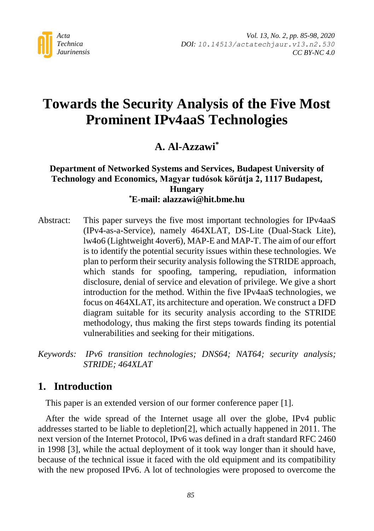

# **Towards the Security Analysis of the Five Most Prominent IPv4aaS Technologies**

# **A. Al-Azzawi\***

### **Department of Networked Systems and Services, Budapest University of Technology and Economics, Magyar tudósok körútja 2, 1117 Budapest, Hungary \*E-mail: alazzawi@hit.bme.hu**

- Abstract: This paper surveys the five most important technologies for IPv4aaS (IPv4-as-a-Service), namely 464XLAT, DS-Lite (Dual-Stack Lite), lw4o6 (Lightweight 4over6), MAP-E and MAP-T. The aim of our effort is to identify the potential security issues within these technologies. We plan to perform their security analysis following the STRIDE approach, which stands for spoofing, tampering, repudiation, information disclosure, denial of service and elevation of privilege. We give a short introduction for the method. Within the five IPv4aaS technologies, we focus on 464XLAT, its architecture and operation. We construct a DFD diagram suitable for its security analysis according to the STRIDE methodology, thus making the first steps towards finding its potential vulnerabilities and seeking for their mitigations.
- *Keywords: IPv6 transition technologies; DNS64; NAT64; security analysis; STRIDE; 464XLAT*

# **1. Introduction**

This paper is an extended version of our former conference paper [\[1\].](#page-11-0)

After the wide spread of the Internet usage all over the globe, IPv4 public addresses started to be liable to depletio[n\[2\],](#page-11-1) which actually happened in 2011. The next version of the Internet Protocol, IPv6 was defined in a draft standard RFC 2460 in 1998 [\[3\],](#page-11-2) while the actual deployment of it took way longer than it should have, because of the technical issue it faced with the old equipment and its compatibility with the new proposed IPv6. A lot of technologies were proposed to overcome the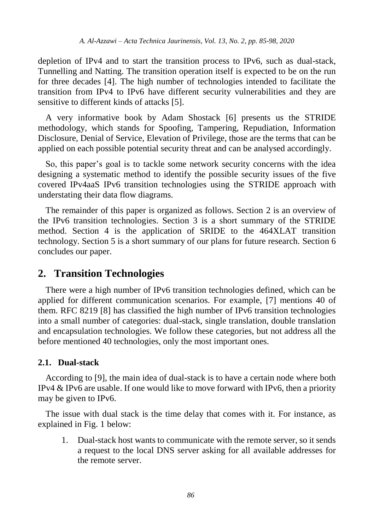depletion of IPv4 and to start the transition process to IPv6, such as dual-stack, Tunnelling and Natting. The transition operation itself is expected to be on the run for three decades [\[4\].](#page-11-3) The high number of technologies intended to facilitate the transition from IPv4 to IPv6 have different security vulnerabilities and they are sensitive to different kinds of attacks [\[5\].](#page-12-0)

A very informative book by Adam Shostack [\[6\]](#page-12-1) presents us the STRIDE methodology, which stands for Spoofing, Tampering, Repudiation, Information Disclosure, Denial of Service, Elevation of Privilege, those are the terms that can be applied on each possible potential security threat and can be analysed accordingly.

So, this paper's goal is to tackle some network security concerns with the idea designing a systematic method to identify the possible security issues of the five covered IPv4aaS IPv6 transition technologies using the STRIDE approach with understating their data flow diagrams.

The remainder of this paper is organized as follows. Section 2 is an overview of the IPv6 transition technologies. Section 3 is a short summary of the STRIDE method. Section 4 is the application of SRIDE to the 464XLAT transition technology. Section 5 is a short summary of our plans for future research. Section 6 concludes our paper.

# **2. Transition Technologies**

There were a high number of IPv6 transition technologies defined, which can be applied for different communication scenarios. For example, [\[7\]](#page-12-2) mentions 40 of them. RFC 8219 [\[8\]](#page-12-3) has classified the high number of IPv6 transition technologies into a small number of categories: dual-stack, single translation, double translation and encapsulation technologies. We follow these categories, but not address all the before mentioned 40 technologies, only the most important ones.

# **2.1. Dual-stack**

According to [\[9\],](#page-12-4) the main idea of dual-stack is to have a certain node where both IPv4 & IPv6 are usable. If one would like to move forward with IPv6, then a priority may be given to IPv6.

The issue with dual stack is the time delay that comes with it. For instance, as explained in Fig. 1 below:

1. Dual-stack host wants to communicate with the remote server, so it sends a request to the local DNS server asking for all available addresses for the remote server.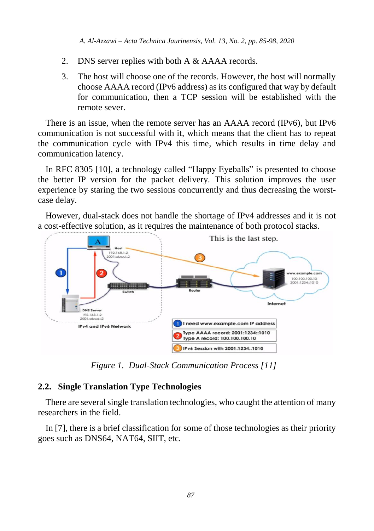- 2. DNS server replies with both A & AAAA records.
- 3. The host will choose one of the records. However, the host will normally choose AAAA record (IPv6 address) as its configured that way by default for communication, then a TCP session will be established with the remote sever.

There is an issue, when the remote server has an AAAA record (IPv6), but IPv6 communication is not successful with it, which means that the client has to repeat the communication cycle with IPv4 this time, which results in time delay and communication latency.

In RFC 8305 [\[10\],](#page-12-5) a technology called "Happy Eyeballs" is presented to choose the better IP version for the packet delivery. This solution improves the user experience by staring the two sessions concurrently and thus decreasing the worstcase delay.

However, dual-stack does not handle the shortage of IPv4 addresses and it is not a cost-effective solution, as it requires the maintenance of both protocol stacks.



*Figure 1. Dual-Stack Communication Process [\[11\]](#page-12-6)*

# **2.2. Single Translation Type Technologies**

There are several single translation technologies, who caught the attention of many researchers in the field.

In [\[7\],](#page-12-2) there is a brief classification for some of those technologies as their priority goes such as DNS64, NAT64, SIIT, etc.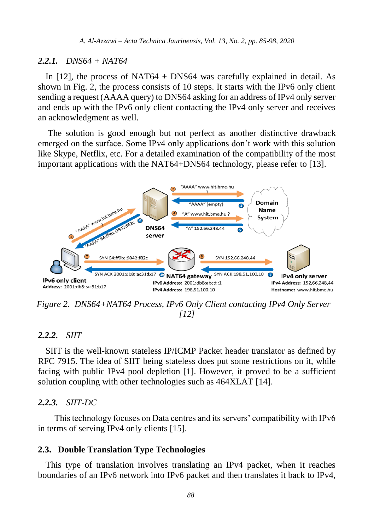#### *2.2.1. DNS64 + NAT64*

In [\[12\],](#page-12-7) the process of NAT64 + DNS64 was carefully explained in detail. As shown in Fig. 2, the process consists of 10 steps. It starts with the IPv6 only client sending a request (AAAA query) to DNS64 asking for an address of IPv4 only server and ends up with the IPv6 only client contacting the IPv4 only server and receives an acknowledgment as well.

The solution is good enough but not perfect as another distinctive drawback emerged on the surface. Some IPv4 only applications don't work with this solution like Skype, Netflix, etc. For a detailed examination of the compatibility of the most important applications with the NAT64+DNS64 technology, please refer to [\[13\].](#page-12-8)



*Figure 2. DNS64+NAT64 Process, IPv6 Only Client contacting IPv4 Only Server [\[12\]](#page-12-7)*

#### *2.2.2. SIIT*

SIIT is the well-known stateless IP/ICMP Packet header translator as defined by RFC 7915. The idea of SIIT being stateless does put some restrictions on it, while facing with public IPv4 pool depletion [\[1\].](#page-11-4) However, it proved to be a sufficient solution coupling with other technologies such as 464XLAT [\[14\].](#page-13-0)

#### *2.2.3. SIIT-DC*

 This technology focuses on Data centres and its servers' compatibility with IPv6 in terms of serving IPv4 only clients [\[15\].](#page-13-1)

#### **2.3. Double Translation Type Technologies**

This type of translation involves translating an IPv4 packet, when it reaches boundaries of an IPv6 network into IPv6 packet and then translates it back to IPv4,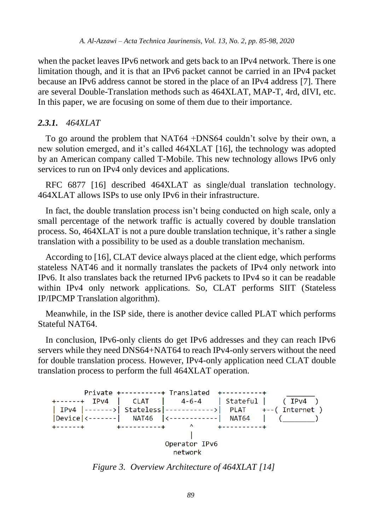when the packet leaves IPv6 network and gets back to an IPv4 network. There is one limitation though, and it is that an IPv6 packet cannot be carried in an IPv4 packet because an IPv6 address cannot be stored in the place of an IPv4 address [\[7\].](#page-12-2) There are several Double-Translation methods such as 464XLAT, MAP-T, 4rd, dIVI, etc. In this paper, we are focusing on some of them due to their importance.

#### *2.3.1. 464XLAT*

To go around the problem that NAT64 +DNS64 couldn't solve by their own, a new solution emerged, and it's called 464XLAT [\[16\],](#page-13-2) the technology was adopted by an American company called T-Mobile. This new technology allows IPv6 only services to run on IPv4 only devices and applications.

RFC 6877 [\[16\]](#page-13-2) described 464XLAT as single/dual translation technology. 464XLAT allows ISPs to use only IPv6 in their infrastructure.

In fact, the double translation process isn't being conducted on high scale, only a small percentage of the network traffic is actually covered by double translation process. So, 464XLAT is not a pure double translation technique, it's rather a single translation with a possibility to be used as a double translation mechanism.

According to [\[16\],](#page-13-2) CLAT device always placed at the client edge, which performs stateless NAT46 and it normally translates the packets of IPv4 only network into IPv6. It also translates back the returned IPv6 packets to IPv4 so it can be readable within IPv4 only network applications. So, CLAT performs SIIT (Stateless IP/IPCMP Translation algorithm).

Meanwhile, in the ISP side, there is another device called PLAT which performs Stateful NAT64.

In conclusion, IPv6-only clients do get IPv6 addresses and they can reach IPv6 servers while they need DNS64+NAT64 to reach IPv4-only servers without the need for double translation process. However, IPv4-only application need CLAT double translation process to perform the full 464XLAT operation.



*Figure 3. Overview Architecture of 464XLAT [\[14\]](#page-13-0)*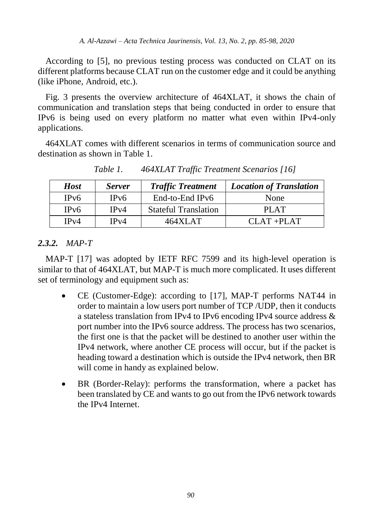According to [\[5\],](#page-12-0) no previous testing process was conducted on CLAT on its different platforms because CLAT run on the customer edge and it could be anything (like iPhone, Android, etc.).

Fig. 3 presents the overview architecture of 464XLAT, it shows the chain of communication and translation steps that being conducted in order to ensure that IPv6 is being used on every platform no matter what even within IPv4-only applications.

464XLAT comes with different scenarios in terms of communication source and destination as shown in Table 1.

| <b>Host</b>       | <b>Server</b>     | <b>Traffic Treatment</b>    | <b>Location of Translation</b> |  |
|-------------------|-------------------|-----------------------------|--------------------------------|--|
| IP <sub>v</sub> 6 | IP <sub>v</sub> 6 | End-to-End IPv6             | None                           |  |
| IP <sub>v</sub> 6 | IPv4              | <b>Stateful Translation</b> | PLAT                           |  |
| IPv4              | IPv4              | 464XLAT                     | $CIAT + PIAT$                  |  |

*Table 1. 464XLAT Traffic Treatment Scenarios [\[16\]](#page-13-2)*

# *2.3.2. MAP-T*

MAP-T [\[17\]](#page-13-3) was adopted by IETF RFC 7599 and its high-level operation is similar to that of 464XLAT, but MAP-T is much more complicated. It uses different set of terminology and equipment such as:

- CE (Customer-Edge): according to [\[17\],](#page-13-3) MAP-T performs NAT44 in order to maintain a low users port number of TCP /UDP, then it conducts a stateless translation from IPv4 to IPv6 encoding IPv4 source address & port number into the IPv6 source address. The process has two scenarios, the first one is that the packet will be destined to another user within the IPv4 network, where another CE process will occur, but if the packet is heading toward a destination which is outside the IPv4 network, then BR will come in handy as explained below.
- BR (Border-Relay): performs the transformation, where a packet has been translated by CE and wants to go out from the IPv6 network towards the IPv4 Internet.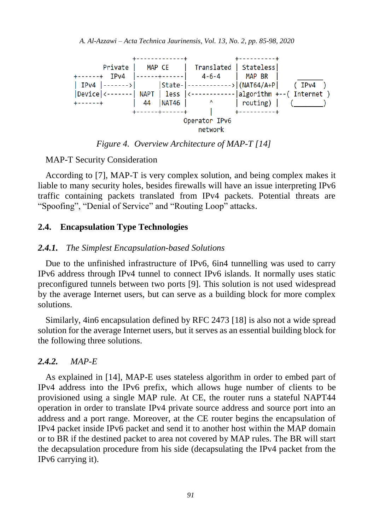

*Figure 4. Overview Architecture of MAP-T [\[14\]](#page-13-0)*

MAP-T Security Consideration

According to [\[7\],](#page-12-2) MAP-T is very complex solution, and being complex makes it liable to many security holes, besides firewalls will have an issue interpreting IPv6 traffic containing packets translated from IPv4 packets. Potential threats are "Spoofing", "Denial of Service" and "Routing Loop" attacks.

#### **2.4. Encapsulation Type Technologies**

#### *2.4.1. The Simplest Encapsulation-based Solutions*

Due to the unfinished infrastructure of IPv6, 6in4 tunnelling was used to carry IPv6 address through IPv4 tunnel to connect IPv6 islands. It normally uses static preconfigured tunnels between two ports [\[9\].](#page-12-4) This solution is not used widespread by the average Internet users, but can serve as a building block for more complex solutions.

Similarly, 4in6 encapsulation defined by RFC 2473 [\[18\]](#page-13-4) is also not a wide spread solution for the average Internet users, but it serves as an essential building block for the following three solutions.

#### *2.4.2. MAP-E*

As explained in [\[14\],](#page-13-0) MAP-E uses stateless algorithm in order to embed part of IPv4 address into the IPv6 prefix, which allows huge number of clients to be provisioned using a single MAP rule. At CE, the router runs a stateful NAPT44 operation in order to translate IPv4 private source address and source port into an address and a port range. Moreover, at the CE router begins the encapsulation of IPv4 packet inside IPv6 packet and send it to another host within the MAP domain or to BR if the destined packet to area not covered by MAP rules. The BR will start the decapsulation procedure from his side (decapsulating the IPv4 packet from the IPv6 carrying it).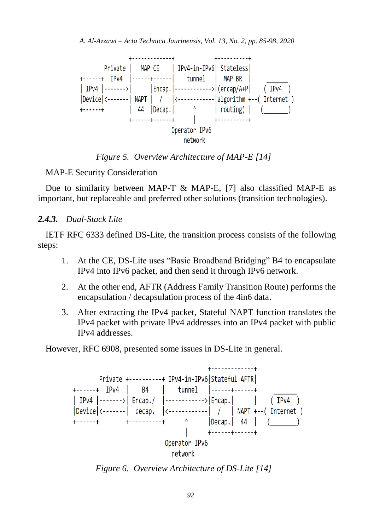

*Figure 5. Overview Architecture of MAP-E [\[14\]](#page-13-0)*

MAP-E Security Consideration

Due to similarity between MAP-T & MAP-E, [\[7\]](#page-12-2) also classified MAP-E as important, but replaceable and preferred other solutions (transition technologies).

#### *2.4.3. Dual-Stack Lite*

IETF RFC 6333 defined DS-Lite, the transition process consists of the following steps:

- 1. At the CE, DS-Lite uses "Basic Broadband Bridging" B4 to encapsulate IPv4 into IPv6 packet, and then send it through IPv6 network.
- 2. At the other end, AFTR (Address Family Transition Route) performs the encapsulation / decapsulation process of the 4in6 data.
- 3. After extracting the IPv4 packet, Stateful NAPT function translates the IPv4 packet with private IPv4 addresses into an IPv4 packet with public IPv4 addresses.

However, RFC 6908, presented some issues in DS-Lite in general.



*Figure 6. Overview Architecture of DS-Lite [\[14\]](#page-13-0)*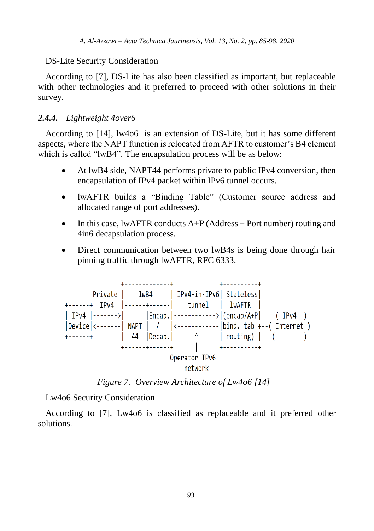### DS-Lite Security Consideration

According to [\[7\],](#page-12-2) DS-Lite has also been classified as important, but replaceable with other technologies and it preferred to proceed with other solutions in their survey.

# *2.4.4. Lightweight 4over6*

According to [\[14\],](#page-13-0) lw4o6 is an extension of DS-Lite, but it has some different aspects, where the NAPT function is relocated from AFTR to customer's B4 element which is called "lwB4". The encapsulation process will be as below:

- At lwB4 side, NAPT44 performs private to public IPv4 conversion, then encapsulation of IPv4 packet within IPv6 tunnel occurs.
- lwAFTR builds a "Binding Table" (Customer source address and allocated range of port addresses).
- In this case, lwAFTR conducts  $A+P$  (Address + Port number) routing and 4in6 decapsulation process.
- Direct communication between two lwB4s is being done through hair pinning traffic through lwAFTR, RFC 6333.



*Figure 7. Overview Architecture of Lw4o6 [\[14\]](#page-13-0)*

Lw4o6 Security Consideration

According to [\[7\],](#page-12-2) Lw4o6 is classified as replaceable and it preferred other solutions.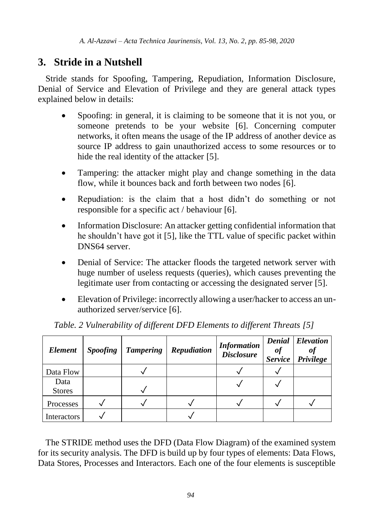# **3. Stride in a Nutshell**

Stride stands for Spoofing, Tampering, Repudiation, Information Disclosure, Denial of Service and Elevation of Privilege and they are general attack types explained below in details:

- Spoofing: in general, it is claiming to be someone that it is not you, or someone pretends to be your website [\[6\].](#page-12-1) Concerning computer networks, it often means the usage of the IP address of another device as source IP address to gain unauthorized access to some resources or to hide the real identity of the attacker [\[5\].](#page-12-0)
- Tampering: the attacker might play and change something in the data flow, while it bounces back and forth between two nodes [\[6\].](#page-12-1)
- Repudiation: is the claim that a host didn't do something or not responsible for a specific act / behaviou[r \[6\].](#page-12-1)
- Information Disclosure: An attacker getting confidential information that he shouldn't have got it [\[5\],](#page-12-0) like the TTL value of specific packet within DNS64 server.
- Denial of Service: The attacker floods the targeted network server with huge number of useless requests (queries), which causes preventing the legitimate user from contacting or accessing the designated server [\[5\].](#page-12-0)
- Elevation of Privilege: incorrectly allowing a user/hacker to access an unauthorized server/service [\[6\].](#page-12-1)

| Element               | <i>Spoofing</i> | <b>Tampering</b> | Repudiation | <b>Information</b><br><b>Disclosure</b> | <b>Service</b> | <b>Denial</b> Elevation<br>Privilege |
|-----------------------|-----------------|------------------|-------------|-----------------------------------------|----------------|--------------------------------------|
| Data Flow             |                 |                  |             |                                         |                |                                      |
| Data<br><b>Stores</b> |                 |                  |             |                                         |                |                                      |
| Processes             |                 |                  |             |                                         |                |                                      |
| Interactors           |                 |                  |             |                                         |                |                                      |

*Table. 2 Vulnerability of different DFD Elements to different Threats [\[5\]](#page-12-0)*

The STRIDE method uses the DFD (Data Flow Diagram) of the examined system for its security analysis. The DFD is build up by four types of elements: Data Flows, Data Stores, Processes and Interactors. Each one of the four elements is susceptible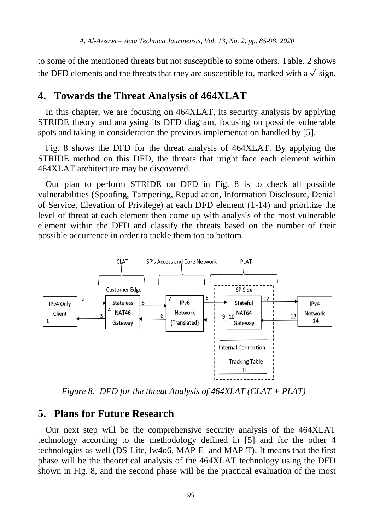to some of the mentioned threats but not susceptible to some others. Table. 2 shows the DFD elements and the threats that they are susceptible to, marked with a  $\sqrt{\ }$  sign.

# **4. Towards the Threat Analysis of 464XLAT**

In this chapter, we are focusing on 464XLAT, its security analysis by applying STRIDE theory and analysing its DFD diagram, focusing on possible vulnerable spots and taking in consideration the previous implementation handled by [\[5\].](#page-12-0)

Fig. 8 shows the DFD for the threat analysis of 464XLAT. By applying the STRIDE method on this DFD, the threats that might face each element within 464XLAT architecture may be discovered.

Our plan to perform STRIDE on DFD in Fig. 8 is to check all possible vulnerabilities (Spoofing, Tampering, Repudiation, Information Disclosure, Denial of Service, Elevation of Privilege) at each DFD element (1-14) and prioritize the level of threat at each element then come up with analysis of the most vulnerable element within the DFD and classify the threats based on the number of their possible occurrence in order to tackle them top to bottom.



*Figure 8. DFD for the threat Analysis of 464XLAT (CLAT + PLAT)* 

# **5. Plans for Future Research**

Our next step will be the comprehensive security analysis of the 464XLAT technology according to the methodology defined in [\[5\]](#page-12-0) and for the other 4 technologies as well (DS-Lite, lw4o6, MAP-E and MAP-T). It means that the first phase will be the theoretical analysis of the 464XLAT technology using the DFD shown in Fig. 8, and the second phase will be the practical evaluation of the most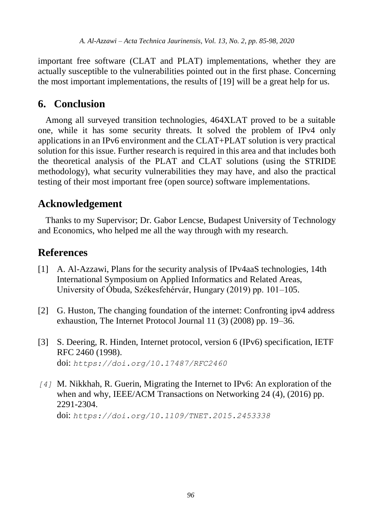important free software (CLAT and PLAT) implementations, whether they are actually susceptible to the vulnerabilities pointed out in the first phase. Concerning the most important implementations, the results of [\[19\]](#page-13-5) will be a great help for us.

# **6. Conclusion**

Among all surveyed transition technologies, 464XLAT proved to be a suitable one, while it has some security threats. It solved the problem of IPv4 only applications in an IPv6 environment and the CLAT+PLAT solution is very practical solution for this issue. Further research is required in this area and that includes both the theoretical analysis of the PLAT and CLAT solutions (using the STRIDE methodology), what security vulnerabilities they may have, and also the practical testing of their most important free (open source) software implementations.

# **Acknowledgement**

Thanks to my Supervisor; Dr. Gabor Lencse, Budapest University of Technology and Economics, who helped me all the way through with my research.

# **References**

- <span id="page-11-4"></span><span id="page-11-0"></span>[1] A. Al-Azzawi, Plans for the security analysis of IPv4aaS technologies, 14th International Symposium on Applied Informatics and Related Areas, University of Óbuda, Székesfehérvár, Hungary (2019) pp. 101–105.
- <span id="page-11-1"></span>[2] G. Huston, The changing foundation of the internet: Confronting ipv4 address exhaustion, The Internet Protocol Journal 11 (3) (2008) pp. 19–36.
- <span id="page-11-2"></span>[3] S. Deering, R. Hinden, Internet protocol, version 6 (IPv6) specification, IETF RFC 2460 (1998). doi: *<https://doi.org/10.17487/RFC2460>*
- <span id="page-11-3"></span>*[4]* M. Nikkhah, R. Guerin, Migrating the Internet to IPv6: An exploration of the when and why, IEEE/ACM Transactions on Networking 24 (4), (2016) pp. 2291-2304.

doi: *<https://doi.org/10.1109/TNET.2015.2453338>*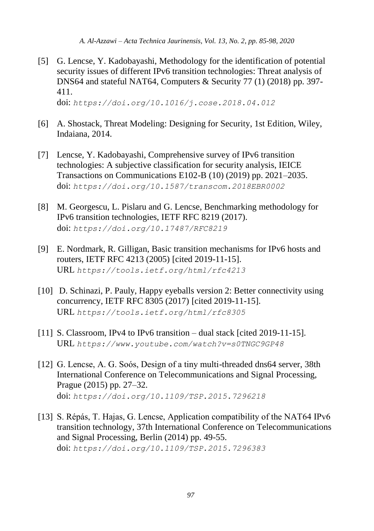*A. Al-Azzawi – Acta Technica Jaurinensis, Vol. 13, No. 2, pp. 85-98, 2020*

<span id="page-12-0"></span>[5] G. Lencse, Y. Kadobayashi, Methodology for the identification of potential security issues of different IPv6 transition technologies: Threat analysis of DNS64 and stateful NAT64, Computers & Security 77 (1) (2018) pp. 397- 411.

doi: *<https://doi.org/10.1016/j.cose.2018.04.012>*

- <span id="page-12-1"></span>[6] A. Shostack, Threat Modeling: Designing for Security, 1st Edition, Wiley, Indaiana, 2014.
- <span id="page-12-2"></span>[7] Lencse, Y. Kadobayashi, Comprehensive survey of IPv6 transition technologies: A subjective classification for security analysis, IEICE Transactions on Communications E102-B (10) (2019) pp. 2021–2035. doi: *<https://doi.org/10.1587/transcom.2018EBR0002>*
- <span id="page-12-3"></span>[8] M. Georgescu, L. Pislaru and G. Lencse, Benchmarking methodology for IPv6 transition technologies, IETF RFC 8219 (2017). doi: *<https://doi.org/10.17487/RFC8219>*
- <span id="page-12-4"></span>[9] E. Nordmark, R. Gilligan, Basic transition mechanisms for IPv6 hosts and routers, IETF RFC 4213 (2005) [cited 2019-11-15]. URL *<https://tools.ietf.org/html/rfc4213>*
- <span id="page-12-5"></span>[10] D. Schinazi, P. Pauly, Happy eyeballs version 2: Better connectivity using concurrency, IETF RFC 8305 (2017) [cited 2019-11-15]. URL *<https://tools.ietf.org/html/rfc8305>*
- <span id="page-12-6"></span>[11] S. Classroom, IPv4 to IPv6 transition – dual stack [cited 2019-11-15]. URL *<https://www.youtube.com/watch?v=s0TNGC9GP48>*
- <span id="page-12-7"></span>[12] G. Lencse, A. G. Soós, Design of a tiny multi-threaded dns64 server, 38th International Conference on Telecommunications and Signal Processing, Prague (2015) pp. 27–32. doi: *<https://doi.org/10.1109/TSP.2015.7296218>*
- <span id="page-12-8"></span>[13] S. Répás, T. Hajas, G. Lencse, Application compatibility of the NAT64 IPv6 transition technology, 37th International Conference on Telecommunications and Signal Processing, Berlin (2014) pp. 49-55. doi: *<https://doi.org/10.1109/TSP.2015.7296383>*